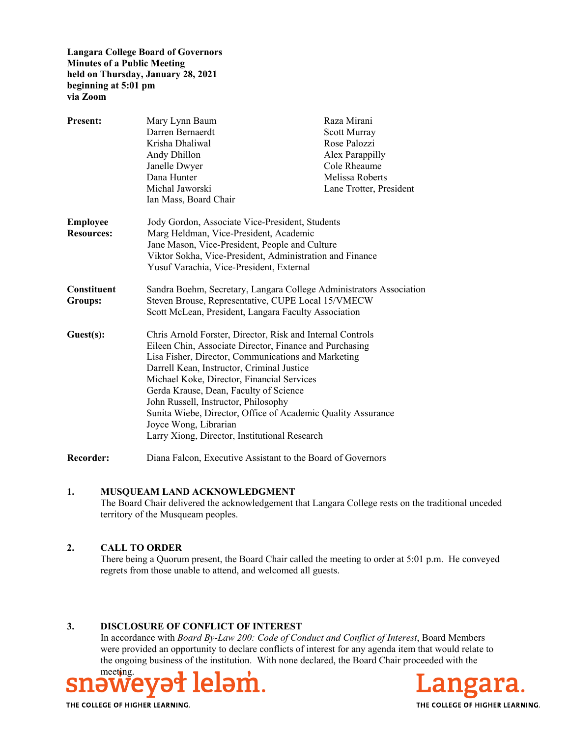**Langara College Board of Governors Minutes of a Public Meeting held on Thursday, January 28, 2021 beginning at 5:01 pm via Zoom** 

| <b>Present:</b>                      | Mary Lynn Baum<br>Darren Bernaerdt<br>Krisha Dhaliwal<br>Andy Dhillon<br>Janelle Dwyer<br>Dana Hunter<br>Michal Jaworski<br>Ian Mass, Board Chair                                                                                                                                                                                                                                                                                                                                                    | Raza Mirani<br><b>Scott Murray</b><br>Rose Palozzi<br>Alex Parappilly<br>Cole Rheaume<br>Melissa Roberts<br>Lane Trotter, President |
|--------------------------------------|------------------------------------------------------------------------------------------------------------------------------------------------------------------------------------------------------------------------------------------------------------------------------------------------------------------------------------------------------------------------------------------------------------------------------------------------------------------------------------------------------|-------------------------------------------------------------------------------------------------------------------------------------|
| <b>Employee</b><br><b>Resources:</b> | Jody Gordon, Associate Vice-President, Students<br>Marg Heldman, Vice-President, Academic<br>Jane Mason, Vice-President, People and Culture<br>Viktor Sokha, Vice-President, Administration and Finance<br>Yusuf Varachia, Vice-President, External                                                                                                                                                                                                                                                  |                                                                                                                                     |
| <b>Constituent</b><br>Groups:        | Sandra Boehm, Secretary, Langara College Administrators Association<br>Steven Brouse, Representative, CUPE Local 15/VMECW<br>Scott McLean, President, Langara Faculty Association                                                                                                                                                                                                                                                                                                                    |                                                                                                                                     |
| Guest(s):                            | Chris Arnold Forster, Director, Risk and Internal Controls<br>Eileen Chin, Associate Director, Finance and Purchasing<br>Lisa Fisher, Director, Communications and Marketing<br>Darrell Kean, Instructor, Criminal Justice<br>Michael Koke, Director, Financial Services<br>Gerda Krause, Dean, Faculty of Science<br>John Russell, Instructor, Philosophy<br>Sunita Wiebe, Director, Office of Academic Quality Assurance<br>Joyce Wong, Librarian<br>Larry Xiong, Director, Institutional Research |                                                                                                                                     |
| Recorder:                            | Diana Falcon, Executive Assistant to the Board of Governors                                                                                                                                                                                                                                                                                                                                                                                                                                          |                                                                                                                                     |

#### **1. MUSQUEAM LAND ACKNOWLEDGMENT**

The Board Chair delivered the acknowledgement that Langara College rests on the traditional unceded territory of the Musqueam peoples.

#### **2. CALL TO ORDER**

There being a Quorum present, the Board Chair called the meeting to order at 5:01 p.m. He conveyed regrets from those unable to attend, and welcomed all guests.

#### **3. DISCLOSURE OF CONFLICT OF INTEREST**

In accordance with *Board By-Law 200: Code of Conduct and Conflict of Interest*, Board Members were provided an opportunity to declare conflicts of interest for any agenda item that would relate to the ongoing business of the institution. With none declared, the Board Chair proceeded with the



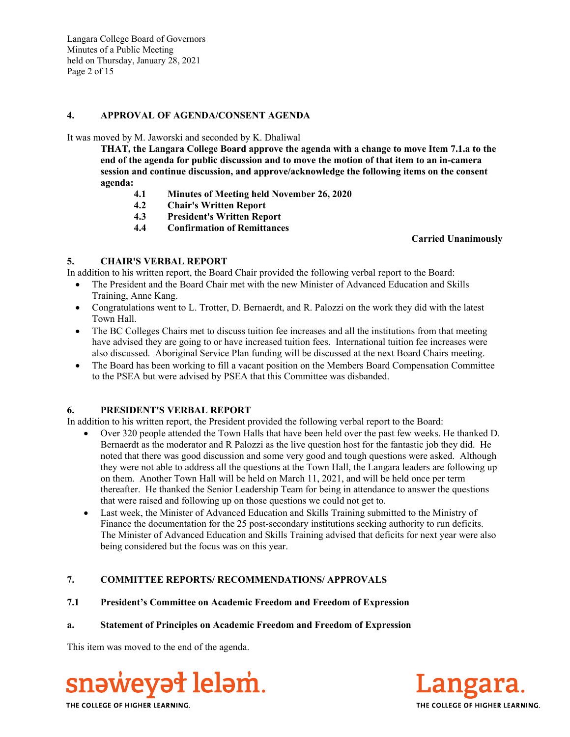Langara College Board of Governors Minutes of a Public Meeting held on Thursday, January 28, 2021 Page 2 of 15

#### **4. APPROVAL OF AGENDA/CONSENT AGENDA**

It was moved by M. Jaworski and seconded by K. Dhaliwal

**THAT, the Langara College Board approve the agenda with a change to move Item 7.1.a to the end of the agenda for public discussion and to move the motion of that item to an in-camera session and continue discussion, and approve/acknowledge the following items on the consent agenda:**

- **4.1 Minutes of Meeting held November 26, 2020**
- **4.2 Chair's Written Report**
- **4.3 President's Written Report**
- **4.4 Confirmation of Remittances**

#### **Carried Unanimously**

## **5. CHAIR'S VERBAL REPORT**

- In addition to his written report, the Board Chair provided the following verbal report to the Board:
	- The President and the Board Chair met with the new Minister of Advanced Education and Skills Training, Anne Kang.
	- Congratulations went to L. Trotter, D. Bernaerdt, and R. Palozzi on the work they did with the latest Town Hall.
	- The BC Colleges Chairs met to discuss tuition fee increases and all the institutions from that meeting have advised they are going to or have increased tuition fees. International tuition fee increases were also discussed. Aboriginal Service Plan funding will be discussed at the next Board Chairs meeting.
	- The Board has been working to fill a vacant position on the Members Board Compensation Committee to the PSEA but were advised by PSEA that this Committee was disbanded.

# **6. PRESIDENT'S VERBAL REPORT**

In addition to his written report, the President provided the following verbal report to the Board:

- Over 320 people attended the Town Halls that have been held over the past few weeks. He thanked D. Bernaerdt as the moderator and R Palozzi as the live question host for the fantastic job they did. He noted that there was good discussion and some very good and tough questions were asked. Although they were not able to address all the questions at the Town Hall, the Langara leaders are following up on them. Another Town Hall will be held on March 11, 2021, and will be held once per term thereafter. He thanked the Senior Leadership Team for being in attendance to answer the questions that were raised and following up on those questions we could not get to.
- Last week, the Minister of Advanced Education and Skills Training submitted to the Ministry of Finance the documentation for the 25 post-secondary institutions seeking authority to run deficits. The Minister of Advanced Education and Skills Training advised that deficits for next year were also being considered but the focus was on this year.

# **7. COMMITTEE REPORTS/ RECOMMENDATIONS/ APPROVALS**

### **7.1 President's Committee on Academic Freedom and Freedom of Expression**

### **a. Statement of Principles on Academic Freedom and Freedom of Expression**

This item was moved to the end of the agenda.



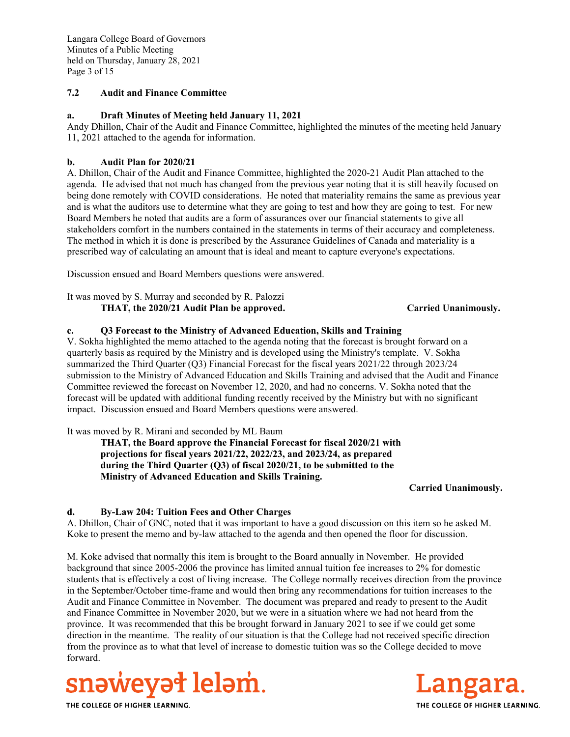Langara College Board of Governors Minutes of a Public Meeting held on Thursday, January 28, 2021 Page 3 of 15

### **7.2 Audit and Finance Committee**

### **a. Draft Minutes of Meeting held January 11, 2021**

Andy Dhillon, Chair of the Audit and Finance Committee, highlighted the minutes of the meeting held January 11, 2021 attached to the agenda for information.

#### **b. Audit Plan for 2020/21**

A. Dhillon, Chair of the Audit and Finance Committee, highlighted the 2020-21 Audit Plan attached to the agenda. He advised that not much has changed from the previous year noting that it is still heavily focused on being done remotely with COVID considerations. He noted that materiality remains the same as previous year and is what the auditors use to determine what they are going to test and how they are going to test. For new Board Members he noted that audits are a form of assurances over our financial statements to give all stakeholders comfort in the numbers contained in the statements in terms of their accuracy and completeness. The method in which it is done is prescribed by the Assurance Guidelines of Canada and materiality is a prescribed way of calculating an amount that is ideal and meant to capture everyone's expectations.

Discussion ensued and Board Members questions were answered.

It was moved by S. Murray and seconded by R. Palozzi **THAT, the 2020/21 Audit Plan be approved. Carried Unanimously.**

#### **c. Q3 Forecast to the Ministry of Advanced Education, Skills and Training**

V. Sokha highlighted the memo attached to the agenda noting that the forecast is brought forward on a quarterly basis as required by the Ministry and is developed using the Ministry's template. V. Sokha summarized the Third Quarter (Q3) Financial Forecast for the fiscal years 2021/22 through 2023/24 submission to the Ministry of Advanced Education and Skills Training and advised that the Audit and Finance Committee reviewed the forecast on November 12, 2020, and had no concerns. V. Sokha noted that the forecast will be updated with additional funding recently received by the Ministry but with no significant impact. Discussion ensued and Board Members questions were answered.

It was moved by R. Mirani and seconded by ML Baum

**THAT, the Board approve the Financial Forecast for fiscal 2020/21 with projections for fiscal years 2021/22, 2022/23, and 2023/24, as prepared during the Third Quarter (Q3) of fiscal 2020/21, to be submitted to the Ministry of Advanced Education and Skills Training.**

**Carried Unanimously.** 

#### **d. By-Law 204: Tuition Fees and Other Charges**

A. Dhillon, Chair of GNC, noted that it was important to have a good discussion on this item so he asked M. Koke to present the memo and by-law attached to the agenda and then opened the floor for discussion.

M. Koke advised that normally this item is brought to the Board annually in November. He provided background that since 2005-2006 the province has limited annual tuition fee increases to 2% for domestic students that is effectively a cost of living increase. The College normally receives direction from the province in the September/October time-frame and would then bring any recommendations for tuition increases to the Audit and Finance Committee in November. The document was prepared and ready to present to the Audit and Finance Committee in November 2020, but we were in a situation where we had not heard from the province. It was recommended that this be brought forward in January 2021 to see if we could get some direction in the meantime. The reality of our situation is that the College had not received specific direction from the province as to what that level of increase to domestic tuition was so the College decided to move forward.



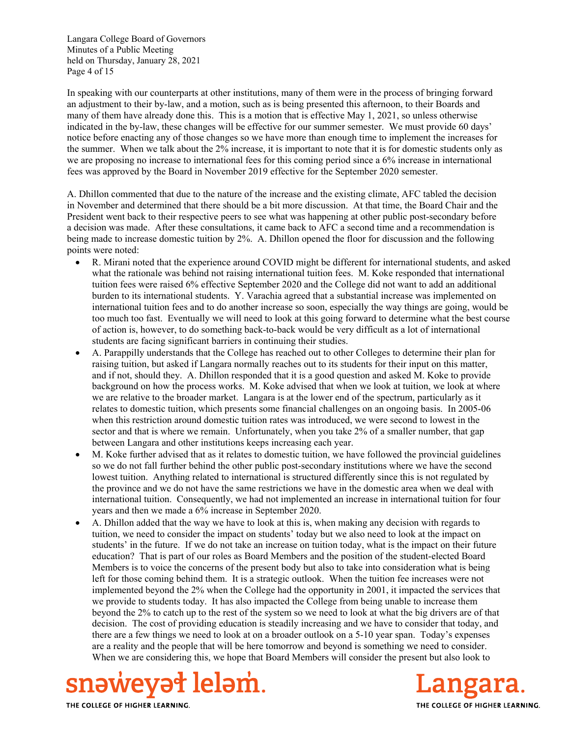Langara College Board of Governors Minutes of a Public Meeting held on Thursday, January 28, 2021 Page 4 of 15

In speaking with our counterparts at other institutions, many of them were in the process of bringing forward an adjustment to their by-law, and a motion, such as is being presented this afternoon, to their Boards and many of them have already done this. This is a motion that is effective May 1, 2021, so unless otherwise indicated in the by-law, these changes will be effective for our summer semester. We must provide 60 days' notice before enacting any of those changes so we have more than enough time to implement the increases for the summer. When we talk about the 2% increase, it is important to note that it is for domestic students only as we are proposing no increase to international fees for this coming period since a 6% increase in international fees was approved by the Board in November 2019 effective for the September 2020 semester.

A. Dhillon commented that due to the nature of the increase and the existing climate, AFC tabled the decision in November and determined that there should be a bit more discussion. At that time, the Board Chair and the President went back to their respective peers to see what was happening at other public post-secondary before a decision was made. After these consultations, it came back to AFC a second time and a recommendation is being made to increase domestic tuition by 2%. A. Dhillon opened the floor for discussion and the following points were noted:

- R. Mirani noted that the experience around COVID might be different for international students, and asked what the rationale was behind not raising international tuition fees. M. Koke responded that international tuition fees were raised 6% effective September 2020 and the College did not want to add an additional burden to its international students. Y. Varachia agreed that a substantial increase was implemented on international tuition fees and to do another increase so soon, especially the way things are going, would be too much too fast. Eventually we will need to look at this going forward to determine what the best course of action is, however, to do something back-to-back would be very difficult as a lot of international students are facing significant barriers in continuing their studies.
- A. Parappilly understands that the College has reached out to other Colleges to determine their plan for raising tuition, but asked if Langara normally reaches out to its students for their input on this matter, and if not, should they. A. Dhillon responded that it is a good question and asked M. Koke to provide background on how the process works. M. Koke advised that when we look at tuition, we look at where we are relative to the broader market. Langara is at the lower end of the spectrum, particularly as it relates to domestic tuition, which presents some financial challenges on an ongoing basis. In 2005-06 when this restriction around domestic tuition rates was introduced, we were second to lowest in the sector and that is where we remain. Unfortunately, when you take 2% of a smaller number, that gap between Langara and other institutions keeps increasing each year.
- M. Koke further advised that as it relates to domestic tuition, we have followed the provincial guidelines so we do not fall further behind the other public post-secondary institutions where we have the second lowest tuition. Anything related to international is structured differently since this is not regulated by the province and we do not have the same restrictions we have in the domestic area when we deal with international tuition. Consequently, we had not implemented an increase in international tuition for four years and then we made a 6% increase in September 2020.
- A. Dhillon added that the way we have to look at this is, when making any decision with regards to tuition, we need to consider the impact on students' today but we also need to look at the impact on students' in the future. If we do not take an increase on tuition today, what is the impact on their future education? That is part of our roles as Board Members and the position of the student-elected Board Members is to voice the concerns of the present body but also to take into consideration what is being left for those coming behind them. It is a strategic outlook. When the tuition fee increases were not implemented beyond the 2% when the College had the opportunity in 2001, it impacted the services that we provide to students today. It has also impacted the College from being unable to increase them beyond the 2% to catch up to the rest of the system so we need to look at what the big drivers are of that decision. The cost of providing education is steadily increasing and we have to consider that today, and there are a few things we need to look at on a broader outlook on a 5-10 year span. Today's expenses are a reality and the people that will be here tomorrow and beyond is something we need to consider. When we are considering this, we hope that Board Members will consider the present but also look to



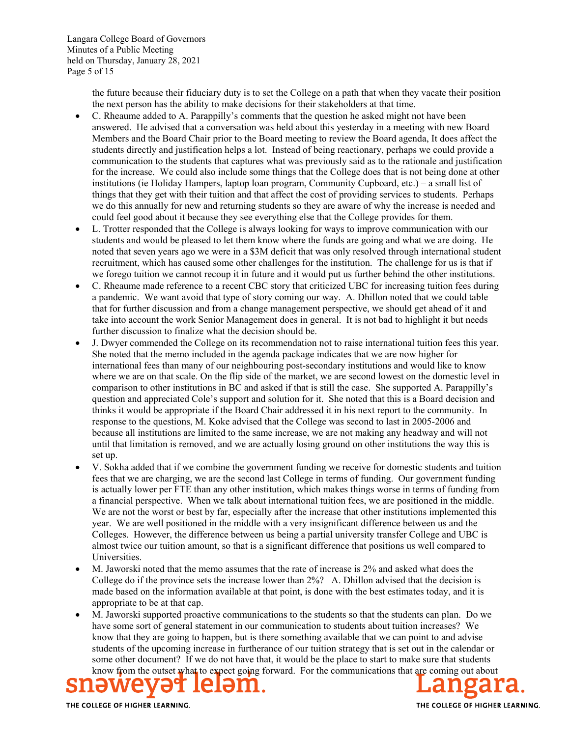the future because their fiduciary duty is to set the College on a path that when they vacate their position the next person has the ability to make decisions for their stakeholders at that time.

- C. Rheaume added to A. Parappilly's comments that the question he asked might not have been answered. He advised that a conversation was held about this yesterday in a meeting with new Board Members and the Board Chair prior to the Board meeting to review the Board agenda, It does affect the students directly and justification helps a lot. Instead of being reactionary, perhaps we could provide a communication to the students that captures what was previously said as to the rationale and justification for the increase. We could also include some things that the College does that is not being done at other institutions (ie Holiday Hampers, laptop loan program, Community Cupboard, etc.) – a small list of things that they get with their tuition and that affect the cost of providing services to students. Perhaps we do this annually for new and returning students so they are aware of why the increase is needed and could feel good about it because they see everything else that the College provides for them.
- L. Trotter responded that the College is always looking for ways to improve communication with our students and would be pleased to let them know where the funds are going and what we are doing. He noted that seven years ago we were in a \$3M deficit that was only resolved through international student recruitment, which has caused some other challenges for the institution. The challenge for us is that if we forego tuition we cannot recoup it in future and it would put us further behind the other institutions.
- C. Rheaume made reference to a recent CBC story that criticized UBC for increasing tuition fees during a pandemic. We want avoid that type of story coming our way. A. Dhillon noted that we could table that for further discussion and from a change management perspective, we should get ahead of it and take into account the work Senior Management does in general. It is not bad to highlight it but needs further discussion to finalize what the decision should be.
- J. Dwyer commended the College on its recommendation not to raise international tuition fees this year. She noted that the memo included in the agenda package indicates that we are now higher for international fees than many of our neighbouring post-secondary institutions and would like to know where we are on that scale. On the flip side of the market, we are second lowest on the domestic level in comparison to other institutions in BC and asked if that is still the case. She supported A. Parappilly's question and appreciated Cole's support and solution for it. She noted that this is a Board decision and thinks it would be appropriate if the Board Chair addressed it in his next report to the community. In response to the questions, M. Koke advised that the College was second to last in 2005-2006 and because all institutions are limited to the same increase, we are not making any headway and will not until that limitation is removed, and we are actually losing ground on other institutions the way this is set up.
- V. Sokha added that if we combine the government funding we receive for domestic students and tuition fees that we are charging, we are the second last College in terms of funding. Our government funding is actually lower per FTE than any other institution, which makes things worse in terms of funding from a financial perspective. When we talk about international tuition fees, we are positioned in the middle. We are not the worst or best by far, especially after the increase that other institutions implemented this year. We are well positioned in the middle with a very insignificant difference between us and the Colleges. However, the difference between us being a partial university transfer College and UBC is almost twice our tuition amount, so that is a significant difference that positions us well compared to Universities.
- M. Jaworski noted that the memo assumes that the rate of increase is 2% and asked what does the College do if the province sets the increase lower than 2%? A. Dhillon advised that the decision is made based on the information available at that point, is done with the best estimates today, and it is appropriate to be at that cap.
- M. Jaworski supported proactive communications to the students so that the students can plan. Do we have some sort of general statement in our communication to students about tuition increases? We know that they are going to happen, but is there something available that we can point to and advise students of the upcoming increase in furtherance of our tuition strategy that is set out in the calendar or some other document? If we do not have that, it would be the place to start to make sure that students know from the outset what to expect going forward. For the communications that are coming out about

ì

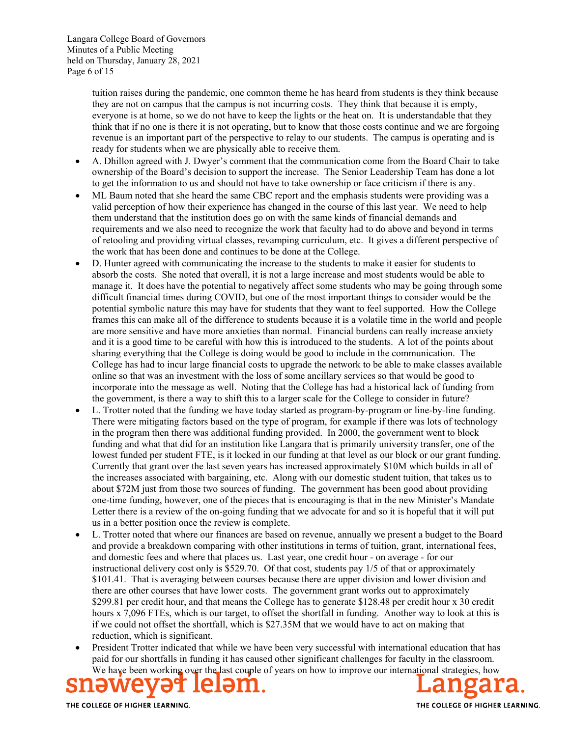tuition raises during the pandemic, one common theme he has heard from students is they think because they are not on campus that the campus is not incurring costs. They think that because it is empty, everyone is at home, so we do not have to keep the lights or the heat on. It is understandable that they think that if no one is there it is not operating, but to know that those costs continue and we are forgoing revenue is an important part of the perspective to relay to our students. The campus is operating and is ready for students when we are physically able to receive them.

- A. Dhillon agreed with J. Dwyer's comment that the communication come from the Board Chair to take ownership of the Board's decision to support the increase. The Senior Leadership Team has done a lot to get the information to us and should not have to take ownership or face criticism if there is any.
- ML Baum noted that she heard the same CBC report and the emphasis students were providing was a valid perception of how their experience has changed in the course of this last year. We need to help them understand that the institution does go on with the same kinds of financial demands and requirements and we also need to recognize the work that faculty had to do above and beyond in terms of retooling and providing virtual classes, revamping curriculum, etc. It gives a different perspective of the work that has been done and continues to be done at the College.
- D. Hunter agreed with communicating the increase to the students to make it easier for students to absorb the costs. She noted that overall, it is not a large increase and most students would be able to manage it. It does have the potential to negatively affect some students who may be going through some difficult financial times during COVID, but one of the most important things to consider would be the potential symbolic nature this may have for students that they want to feel supported. How the College frames this can make all of the difference to students because it is a volatile time in the world and people are more sensitive and have more anxieties than normal. Financial burdens can really increase anxiety and it is a good time to be careful with how this is introduced to the students. A lot of the points about sharing everything that the College is doing would be good to include in the communication. The College has had to incur large financial costs to upgrade the network to be able to make classes available online so that was an investment with the loss of some ancillary services so that would be good to incorporate into the message as well. Noting that the College has had a historical lack of funding from the government, is there a way to shift this to a larger scale for the College to consider in future?
- L. Trotter noted that the funding we have today started as program-by-program or line-by-line funding. There were mitigating factors based on the type of program, for example if there was lots of technology in the program then there was additional funding provided. In 2000, the government went to block funding and what that did for an institution like Langara that is primarily university transfer, one of the lowest funded per student FTE, is it locked in our funding at that level as our block or our grant funding. Currently that grant over the last seven years has increased approximately \$10M which builds in all of the increases associated with bargaining, etc. Along with our domestic student tuition, that takes us to about \$72M just from those two sources of funding. The government has been good about providing one-time funding, however, one of the pieces that is encouraging is that in the new Minister's Mandate Letter there is a review of the on-going funding that we advocate for and so it is hopeful that it will put us in a better position once the review is complete.
- L. Trotter noted that where our finances are based on revenue, annually we present a budget to the Board and provide a breakdown comparing with other institutions in terms of tuition, grant, international fees, and domestic fees and where that places us. Last year, one credit hour - on average - for our instructional delivery cost only is \$529.70. Of that cost, students pay 1/5 of that or approximately \$101.41. That is averaging between courses because there are upper division and lower division and there are other courses that have lower costs. The government grant works out to approximately \$299.81 per credit hour, and that means the College has to generate \$128.48 per credit hour x 30 credit hours x 7,096 FTEs, which is our target, to offset the shortfall in funding. Another way to look at this is if we could not offset the shortfall, which is \$27.35M that we would have to act on making that reduction, which is significant.
- President Trotter indicated that while we have been very successful with international education that has paid for our shortfalls in funding it has caused other significant challenges for faculty in the classroom. We have been working over the last couple of years on how to improve our international strategies, how

ì

THE COLLEGE OF HIGHER LEARNING.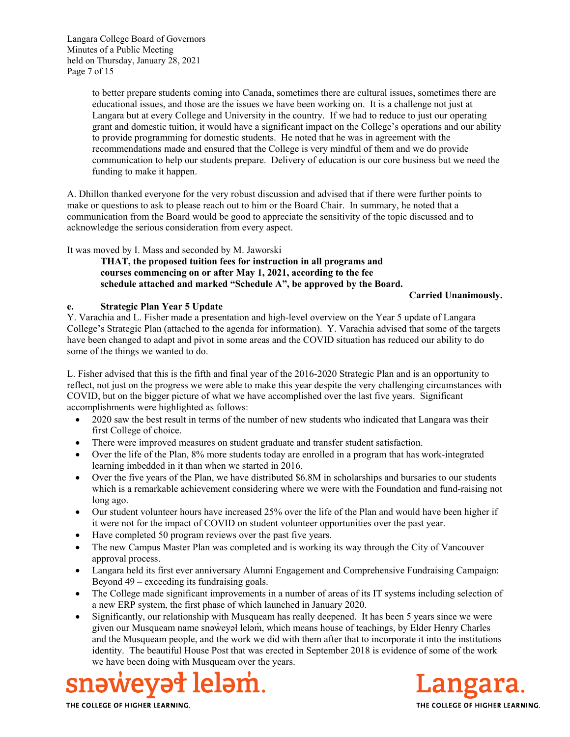Langara College Board of Governors Minutes of a Public Meeting held on Thursday, January 28, 2021 Page 7 of 15

> to better prepare students coming into Canada, sometimes there are cultural issues, sometimes there are educational issues, and those are the issues we have been working on. It is a challenge not just at Langara but at every College and University in the country. If we had to reduce to just our operating grant and domestic tuition, it would have a significant impact on the College's operations and our ability to provide programming for domestic students. He noted that he was in agreement with the recommendations made and ensured that the College is very mindful of them and we do provide communication to help our students prepare. Delivery of education is our core business but we need the funding to make it happen.

A. Dhillon thanked everyone for the very robust discussion and advised that if there were further points to make or questions to ask to please reach out to him or the Board Chair. In summary, he noted that a communication from the Board would be good to appreciate the sensitivity of the topic discussed and to acknowledge the serious consideration from every aspect.

It was moved by I. Mass and seconded by M. Jaworski

**THAT, the proposed tuition fees for instruction in all programs and courses commencing on or after May 1, 2021, according to the fee schedule attached and marked "Schedule A", be approved by the Board.** 

**Carried Unanimously.** 

#### **e. Strategic Plan Year 5 Update**

Y. Varachia and L. Fisher made a presentation and high-level overview on the Year 5 update of Langara College's Strategic Plan (attached to the agenda for information). Y. Varachia advised that some of the targets have been changed to adapt and pivot in some areas and the COVID situation has reduced our ability to do some of the things we wanted to do.

L. Fisher advised that this is the fifth and final year of the 2016-2020 Strategic Plan and is an opportunity to reflect, not just on the progress we were able to make this year despite the very challenging circumstances with COVID, but on the bigger picture of what we have accomplished over the last five years. Significant accomplishments were highlighted as follows:

- 2020 saw the best result in terms of the number of new students who indicated that Langara was their first College of choice.
- There were improved measures on student graduate and transfer student satisfaction.
- Over the life of the Plan, 8% more students today are enrolled in a program that has work-integrated learning imbedded in it than when we started in 2016.
- Over the five years of the Plan, we have distributed \$6.8M in scholarships and bursaries to our students which is a remarkable achievement considering where we were with the Foundation and fund-raising not long ago.
- Our student volunteer hours have increased 25% over the life of the Plan and would have been higher if it were not for the impact of COVID on student volunteer opportunities over the past year.
- Have completed 50 program reviews over the past five years.
- The new Campus Master Plan was completed and is working its way through the City of Vancouver approval process.
- Langara held its first ever anniversary Alumni Engagement and Comprehensive Fundraising Campaign: Beyond 49 – exceeding its fundraising goals.
- The College made significant improvements in a number of areas of its IT systems including selection of a new ERP system, the first phase of which launched in January 2020.
- Significantly, our relationship with Musqueam has really deepened. It has been 5 years since we were given our Musqueam name snәweyәł lelәm, which means house of teachings, by Elder Henry Charles and the Musqueam people, and the work we did with them after that to incorporate it into the institutions identity. The beautiful House Post that was erected in September 2018 is evidence of some of the work we have been doing with Musqueam over the years.



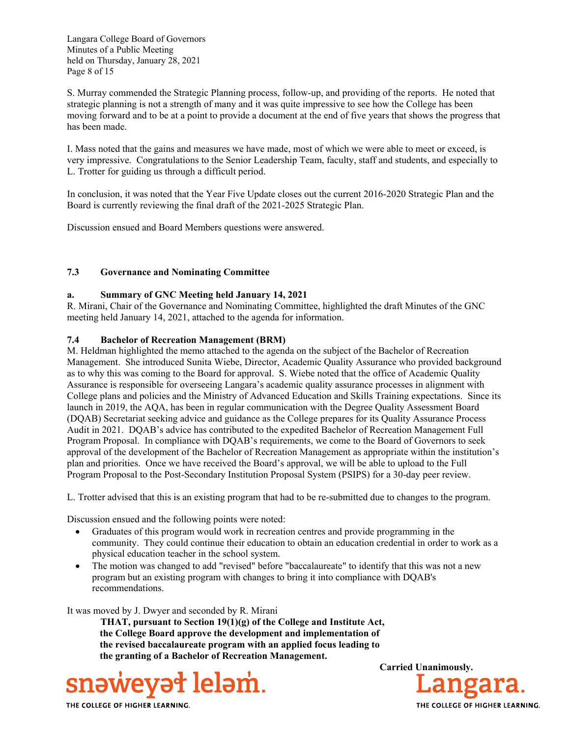Langara College Board of Governors Minutes of a Public Meeting held on Thursday, January 28, 2021 Page 8 of 15

S. Murray commended the Strategic Planning process, follow-up, and providing of the reports. He noted that strategic planning is not a strength of many and it was quite impressive to see how the College has been moving forward and to be at a point to provide a document at the end of five years that shows the progress that has been made.

I. Mass noted that the gains and measures we have made, most of which we were able to meet or exceed, is very impressive. Congratulations to the Senior Leadership Team, faculty, staff and students, and especially to L. Trotter for guiding us through a difficult period.

In conclusion, it was noted that the Year Five Update closes out the current 2016-2020 Strategic Plan and the Board is currently reviewing the final draft of the 2021-2025 Strategic Plan.

Discussion ensued and Board Members questions were answered.

#### **7.3 Governance and Nominating Committee**

#### **a. Summary of GNC Meeting held January 14, 2021**

R. Mirani, Chair of the Governance and Nominating Committee, highlighted the draft Minutes of the GNC meeting held January 14, 2021, attached to the agenda for information.

#### **7.4 Bachelor of Recreation Management (BRM)**

M. Heldman highlighted the memo attached to the agenda on the subject of the Bachelor of Recreation Management. She introduced Sunita Wiebe, Director, Academic Quality Assurance who provided background as to why this was coming to the Board for approval. S. Wiebe noted that the office of Academic Quality Assurance is responsible for overseeing Langara's academic quality assurance processes in alignment with College plans and policies and the Ministry of Advanced Education and Skills Training expectations. Since its launch in 2019, the AQA, has been in regular communication with the Degree Quality Assessment Board (DQAB) Secretariat seeking advice and guidance as the College prepares for its Quality Assurance Process Audit in 2021. DQAB's advice has contributed to the expedited Bachelor of Recreation Management Full Program Proposal. In compliance with DQAB's requirements, we come to the Board of Governors to seek approval of the development of the Bachelor of Recreation Management as appropriate within the institution's plan and priorities. Once we have received the Board's approval, we will be able to upload to the Full Program Proposal to the Post-Secondary Institution Proposal System (PSIPS) for a 30-day peer review.

L. Trotter advised that this is an existing program that had to be re-submitted due to changes to the program.

Discussion ensued and the following points were noted:

- Graduates of this program would work in recreation centres and provide programming in the community. They could continue their education to obtain an education credential in order to work as a physical education teacher in the school system.
- The motion was changed to add "revised" before "baccalaureate" to identify that this was not a new program but an existing program with changes to bring it into compliance with DQAB's recommendations.

It was moved by J. Dwyer and seconded by R. Mirani

 **THAT, pursuant to Section 19(1)(g) of the College and Institute Act, the College Board approve the development and implementation of the revised baccalaureate program with an applied focus leading to the granting of a Bachelor of Recreation Management.** 



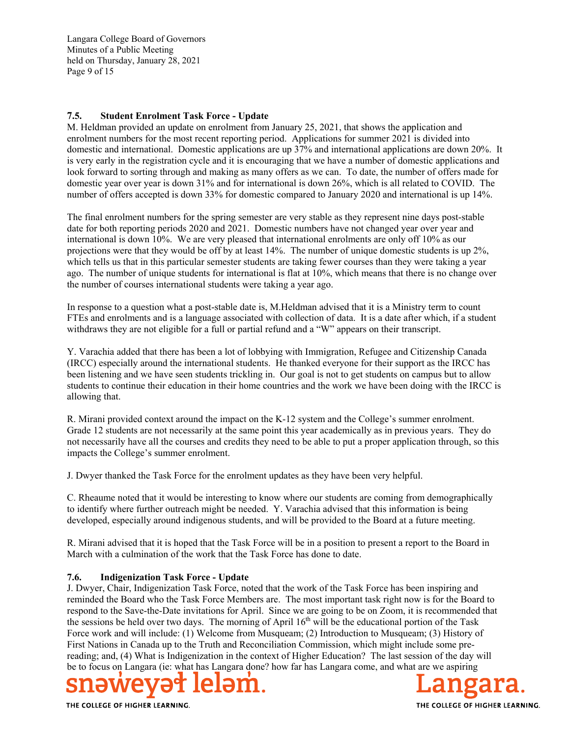Langara College Board of Governors Minutes of a Public Meeting held on Thursday, January 28, 2021 Page 9 of 15

### **7.5. Student Enrolment Task Force - Update**

M. Heldman provided an update on enrolment from January 25, 2021, that shows the application and enrolment numbers for the most recent reporting period. Applications for summer 2021 is divided into domestic and international. Domestic applications are up 37% and international applications are down 20%. It is very early in the registration cycle and it is encouraging that we have a number of domestic applications and look forward to sorting through and making as many offers as we can. To date, the number of offers made for domestic year over year is down 31% and for international is down 26%, which is all related to COVID. The number of offers accepted is down 33% for domestic compared to January 2020 and international is up 14%.

The final enrolment numbers for the spring semester are very stable as they represent nine days post-stable date for both reporting periods 2020 and 2021. Domestic numbers have not changed year over year and international is down 10%. We are very pleased that international enrolments are only off 10% as our projections were that they would be off by at least 14%. The number of unique domestic students is up 2%, which tells us that in this particular semester students are taking fewer courses than they were taking a year ago. The number of unique students for international is flat at 10%, which means that there is no change over the number of courses international students were taking a year ago.

In response to a question what a post-stable date is, M.Heldman advised that it is a Ministry term to count FTEs and enrolments and is a language associated with collection of data. It is a date after which, if a student withdraws they are not eligible for a full or partial refund and a "W" appears on their transcript.

Y. Varachia added that there has been a lot of lobbying with Immigration, Refugee and Citizenship Canada (IRCC) especially around the international students. He thanked everyone for their support as the IRCC has been listening and we have seen students trickling in. Our goal is not to get students on campus but to allow students to continue their education in their home countries and the work we have been doing with the IRCC is allowing that.

R. Mirani provided context around the impact on the K-12 system and the College's summer enrolment. Grade 12 students are not necessarily at the same point this year academically as in previous years. They do not necessarily have all the courses and credits they need to be able to put a proper application through, so this impacts the College's summer enrolment.

J. Dwyer thanked the Task Force for the enrolment updates as they have been very helpful.

C. Rheaume noted that it would be interesting to know where our students are coming from demographically to identify where further outreach might be needed. Y. Varachia advised that this information is being developed, especially around indigenous students, and will be provided to the Board at a future meeting.

R. Mirani advised that it is hoped that the Task Force will be in a position to present a report to the Board in March with a culmination of the work that the Task Force has done to date.

### **7.6. Indigenization Task Force - Update**

J. Dwyer, Chair, Indigenization Task Force, noted that the work of the Task Force has been inspiring and reminded the Board who the Task Force Members are. The most important task right now is for the Board to respond to the Save-the-Date invitations for April. Since we are going to be on Zoom, it is recommended that the sessions be held over two days. The morning of April  $16<sup>th</sup>$  will be the educational portion of the Task Force work and will include: (1) Welcome from Musqueam; (2) Introduction to Musqueam; (3) History of First Nations in Canada up to the Truth and Reconciliation Commission, which might include some prereading; and, (4) What is Indigenization in the context of Higher Education? The last session of the day will be to focus on Langara (ie: what has Langara done? how far has Langara come, and what are we aspiring



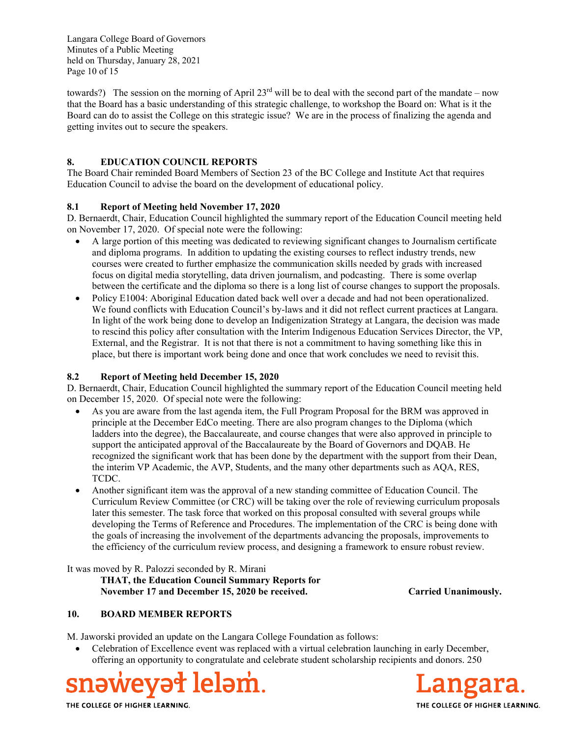Langara College Board of Governors Minutes of a Public Meeting held on Thursday, January 28, 2021 Page 10 of 15

towards?) The session on the morning of April  $23<sup>rd</sup>$  will be to deal with the second part of the mandate – now that the Board has a basic understanding of this strategic challenge, to workshop the Board on: What is it the Board can do to assist the College on this strategic issue? We are in the process of finalizing the agenda and getting invites out to secure the speakers.

## **8. EDUCATION COUNCIL REPORTS**

The Board Chair reminded Board Members of Section 23 of the BC College and Institute Act that requires Education Council to advise the board on the development of educational policy.

### **8.1 Report of Meeting held November 17, 2020**

D. Bernaerdt, Chair, Education Council highlighted the summary report of the Education Council meeting held on November 17, 2020. Of special note were the following:

- A large portion of this meeting was dedicated to reviewing significant changes to Journalism certificate and diploma programs. In addition to updating the existing courses to reflect industry trends, new courses were created to further emphasize the communication skills needed by grads with increased focus on digital media storytelling, data driven journalism, and podcasting. There is some overlap between the certificate and the diploma so there is a long list of course changes to support the proposals.
- Policy E1004: Aboriginal Education dated back well over a decade and had not been operationalized. We found conflicts with Education Council's by-laws and it did not reflect current practices at Langara. In light of the work being done to develop an Indigenization Strategy at Langara, the decision was made to rescind this policy after consultation with the Interim Indigenous Education Services Director, the VP, External, and the Registrar. It is not that there is not a commitment to having something like this in place, but there is important work being done and once that work concludes we need to revisit this.

### **8.2 Report of Meeting held December 15, 2020**

D. Bernaerdt, Chair, Education Council highlighted the summary report of the Education Council meeting held on December 15, 2020. Of special note were the following:

- As you are aware from the last agenda item, the Full Program Proposal for the BRM was approved in principle at the December EdCo meeting. There are also program changes to the Diploma (which ladders into the degree), the Baccalaureate, and course changes that were also approved in principle to support the anticipated approval of the Baccalaureate by the Board of Governors and DQAB. He recognized the significant work that has been done by the department with the support from their Dean, the interim VP Academic, the AVP, Students, and the many other departments such as AQA, RES, TCDC.
- Another significant item was the approval of a new standing committee of Education Council. The Curriculum Review Committee (or CRC) will be taking over the role of reviewing curriculum proposals later this semester. The task force that worked on this proposal consulted with several groups while developing the Terms of Reference and Procedures. The implementation of the CRC is being done with the goals of increasing the involvement of the departments advancing the proposals, improvements to the efficiency of the curriculum review process, and designing a framework to ensure robust review.

It was moved by R. Palozzi seconded by R. Mirani

**THAT, the Education Council Summary Reports for November 17 and December 15, 2020 be received. Carried Unanimously.** 

### **10. BOARD MEMBER REPORTS**

M. Jaworski provided an update on the Langara College Foundation as follows:

 Celebration of Excellence event was replaced with a virtual celebration launching in early December, offering an opportunity to congratulate and celebrate student scholarship recipients and donors. 250



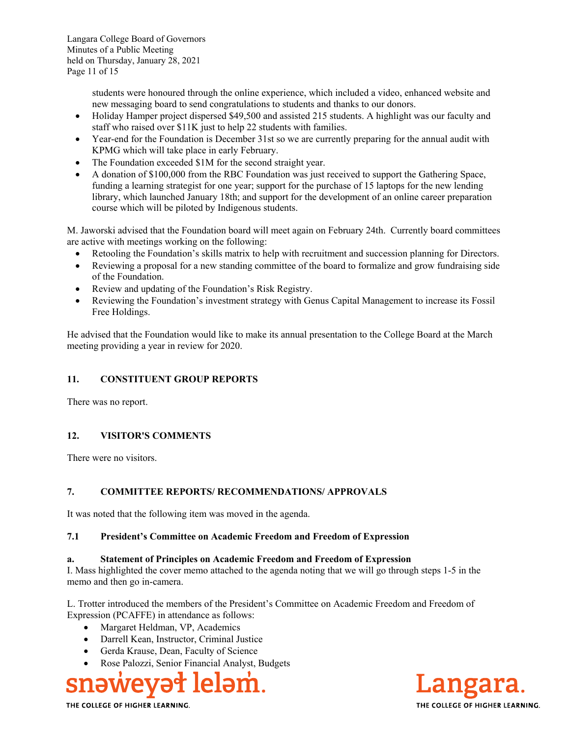students were honoured through the online experience, which included a video, enhanced website and new messaging board to send congratulations to students and thanks to our donors.

- Holiday Hamper project dispersed \$49,500 and assisted 215 students. A highlight was our faculty and staff who raised over \$11K just to help 22 students with families.
- Year-end for the Foundation is December 31st so we are currently preparing for the annual audit with KPMG which will take place in early February.
- The Foundation exceeded \$1M for the second straight year.
- A donation of \$100,000 from the RBC Foundation was just received to support the Gathering Space, funding a learning strategist for one year; support for the purchase of 15 laptops for the new lending library, which launched January 18th; and support for the development of an online career preparation course which will be piloted by Indigenous students.

M. Jaworski advised that the Foundation board will meet again on February 24th. Currently board committees are active with meetings working on the following:

- Retooling the Foundation's skills matrix to help with recruitment and succession planning for Directors.
- Reviewing a proposal for a new standing committee of the board to formalize and grow fundraising side of the Foundation.
- Review and updating of the Foundation's Risk Registry.
- Reviewing the Foundation's investment strategy with Genus Capital Management to increase its Fossil Free Holdings.

He advised that the Foundation would like to make its annual presentation to the College Board at the March meeting providing a year in review for 2020.

# **11. CONSTITUENT GROUP REPORTS**

There was no report.

### **12. VISITOR'S COMMENTS**

There were no visitors.

### **7. COMMITTEE REPORTS/ RECOMMENDATIONS/ APPROVALS**

It was noted that the following item was moved in the agenda.

### **7.1 President's Committee on Academic Freedom and Freedom of Expression**

### **a. Statement of Principles on Academic Freedom and Freedom of Expression**

I. Mass highlighted the cover memo attached to the agenda noting that we will go through steps 1-5 in the memo and then go in-camera.

L. Trotter introduced the members of the President's Committee on Academic Freedom and Freedom of Expression (PCAFFE) in attendance as follows:

- Margaret Heldman, VP, Academics
- Darrell Kean, Instructor, Criminal Justice
- Gerda Krause, Dean, Faculty of Science
- Rose Palozzi, Senior Financial Analyst, Budgets



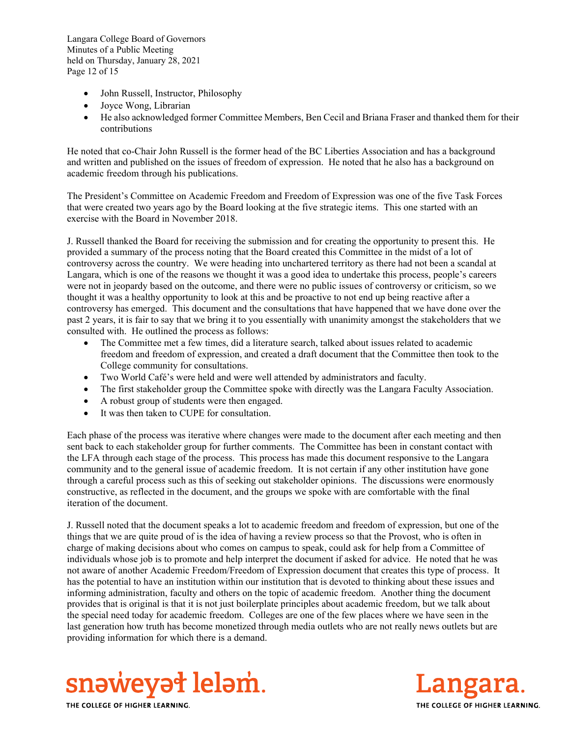Langara College Board of Governors Minutes of a Public Meeting held on Thursday, January 28, 2021 Page 12 of 15

- John Russell, Instructor, Philosophy
- Joyce Wong, Librarian
- He also acknowledged former Committee Members, Ben Cecil and Briana Fraser and thanked them for their contributions

He noted that co-Chair John Russell is the former head of the BC Liberties Association and has a background and written and published on the issues of freedom of expression. He noted that he also has a background on academic freedom through his publications.

The President's Committee on Academic Freedom and Freedom of Expression was one of the five Task Forces that were created two years ago by the Board looking at the five strategic items. This one started with an exercise with the Board in November 2018.

J. Russell thanked the Board for receiving the submission and for creating the opportunity to present this. He provided a summary of the process noting that the Board created this Committee in the midst of a lot of controversy across the country. We were heading into unchartered territory as there had not been a scandal at Langara, which is one of the reasons we thought it was a good idea to undertake this process, people's careers were not in jeopardy based on the outcome, and there were no public issues of controversy or criticism, so we thought it was a healthy opportunity to look at this and be proactive to not end up being reactive after a controversy has emerged. This document and the consultations that have happened that we have done over the past 2 years, it is fair to say that we bring it to you essentially with unanimity amongst the stakeholders that we consulted with. He outlined the process as follows:

- The Committee met a few times, did a literature search, talked about issues related to academic freedom and freedom of expression, and created a draft document that the Committee then took to the College community for consultations.
- Two World Café's were held and were well attended by administrators and faculty.
- The first stakeholder group the Committee spoke with directly was the Langara Faculty Association.
- A robust group of students were then engaged.
- It was then taken to CUPE for consultation.

Each phase of the process was iterative where changes were made to the document after each meeting and then sent back to each stakeholder group for further comments. The Committee has been in constant contact with the LFA through each stage of the process. This process has made this document responsive to the Langara community and to the general issue of academic freedom. It is not certain if any other institution have gone through a careful process such as this of seeking out stakeholder opinions. The discussions were enormously constructive, as reflected in the document, and the groups we spoke with are comfortable with the final iteration of the document.

J. Russell noted that the document speaks a lot to academic freedom and freedom of expression, but one of the things that we are quite proud of is the idea of having a review process so that the Provost, who is often in charge of making decisions about who comes on campus to speak, could ask for help from a Committee of individuals whose job is to promote and help interpret the document if asked for advice. He noted that he was not aware of another Academic Freedom/Freedom of Expression document that creates this type of process. It has the potential to have an institution within our institution that is devoted to thinking about these issues and informing administration, faculty and others on the topic of academic freedom. Another thing the document provides that is original is that it is not just boilerplate principles about academic freedom, but we talk about the special need today for academic freedom. Colleges are one of the few places where we have seen in the last generation how truth has become monetized through media outlets who are not really news outlets but are providing information for which there is a demand.



Langai THE COLLEGE OF HIGHER LEARNING.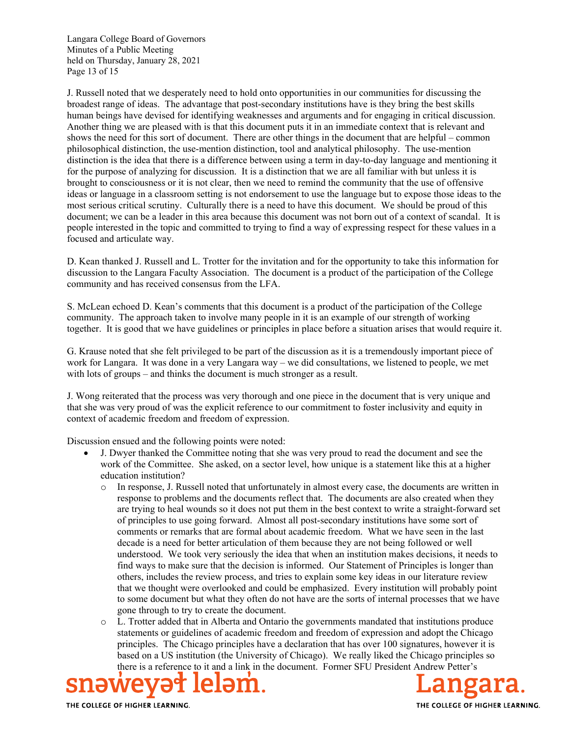Langara College Board of Governors Minutes of a Public Meeting held on Thursday, January 28, 2021 Page 13 of 15

J. Russell noted that we desperately need to hold onto opportunities in our communities for discussing the broadest range of ideas. The advantage that post-secondary institutions have is they bring the best skills human beings have devised for identifying weaknesses and arguments and for engaging in critical discussion. Another thing we are pleased with is that this document puts it in an immediate context that is relevant and shows the need for this sort of document. There are other things in the document that are helpful – common philosophical distinction, the use-mention distinction, tool and analytical philosophy. The use-mention distinction is the idea that there is a difference between using a term in day-to-day language and mentioning it for the purpose of analyzing for discussion. It is a distinction that we are all familiar with but unless it is brought to consciousness or it is not clear, then we need to remind the community that the use of offensive ideas or language in a classroom setting is not endorsement to use the language but to expose those ideas to the most serious critical scrutiny. Culturally there is a need to have this document. We should be proud of this document; we can be a leader in this area because this document was not born out of a context of scandal. It is people interested in the topic and committed to trying to find a way of expressing respect for these values in a focused and articulate way.

D. Kean thanked J. Russell and L. Trotter for the invitation and for the opportunity to take this information for discussion to the Langara Faculty Association. The document is a product of the participation of the College community and has received consensus from the LFA.

S. McLean echoed D. Kean's comments that this document is a product of the participation of the College community. The approach taken to involve many people in it is an example of our strength of working together. It is good that we have guidelines or principles in place before a situation arises that would require it.

G. Krause noted that she felt privileged to be part of the discussion as it is a tremendously important piece of work for Langara. It was done in a very Langara way – we did consultations, we listened to people, we met with lots of groups – and thinks the document is much stronger as a result.

J. Wong reiterated that the process was very thorough and one piece in the document that is very unique and that she was very proud of was the explicit reference to our commitment to foster inclusivity and equity in context of academic freedom and freedom of expression.

Discussion ensued and the following points were noted:

- J. Dwyer thanked the Committee noting that she was very proud to read the document and see the work of the Committee. She asked, on a sector level, how unique is a statement like this at a higher education institution?
	- o In response, J. Russell noted that unfortunately in almost every case, the documents are written in response to problems and the documents reflect that. The documents are also created when they are trying to heal wounds so it does not put them in the best context to write a straight-forward set of principles to use going forward. Almost all post-secondary institutions have some sort of comments or remarks that are formal about academic freedom. What we have seen in the last decade is a need for better articulation of them because they are not being followed or well understood. We took very seriously the idea that when an institution makes decisions, it needs to find ways to make sure that the decision is informed. Our Statement of Principles is longer than others, includes the review process, and tries to explain some key ideas in our literature review that we thought were overlooked and could be emphasized. Every institution will probably point to some document but what they often do not have are the sorts of internal processes that we have gone through to try to create the document.
	- o L. Trotter added that in Alberta and Ontario the governments mandated that institutions produce statements or guidelines of academic freedom and freedom of expression and adopt the Chicago principles. The Chicago principles have a declaration that has over 100 signatures, however it is based on a US institution (the University of Chicago). We really liked the Chicago principles so there is a reference to it and a link in the document. Former SFU President Andrew Petter's

SNƏW

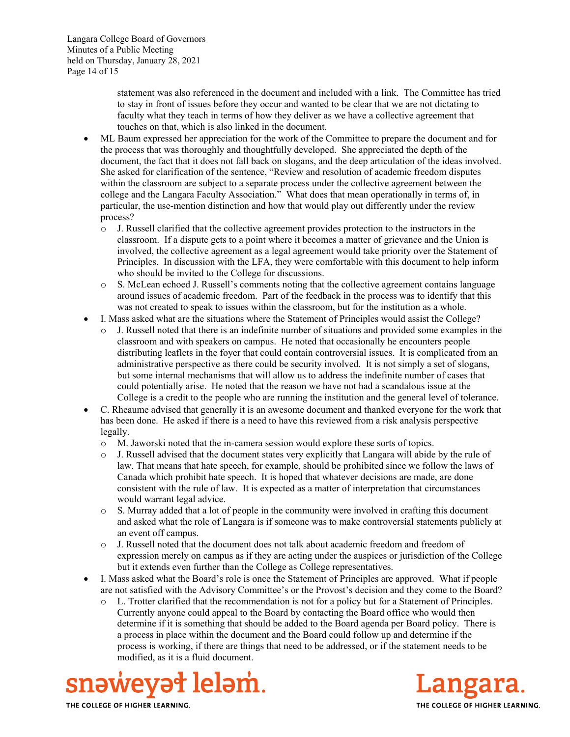Langara College Board of Governors Minutes of a Public Meeting held on Thursday, January 28, 2021 Page 14 of 15

> statement was also referenced in the document and included with a link. The Committee has tried to stay in front of issues before they occur and wanted to be clear that we are not dictating to faculty what they teach in terms of how they deliver as we have a collective agreement that touches on that, which is also linked in the document.

- ML Baum expressed her appreciation for the work of the Committee to prepare the document and for the process that was thoroughly and thoughtfully developed. She appreciated the depth of the document, the fact that it does not fall back on slogans, and the deep articulation of the ideas involved. She asked for clarification of the sentence, "Review and resolution of academic freedom disputes within the classroom are subject to a separate process under the collective agreement between the college and the Langara Faculty Association." What does that mean operationally in terms of, in particular, the use-mention distinction and how that would play out differently under the review process?
	- o J. Russell clarified that the collective agreement provides protection to the instructors in the classroom. If a dispute gets to a point where it becomes a matter of grievance and the Union is involved, the collective agreement as a legal agreement would take priority over the Statement of Principles. In discussion with the LFA, they were comfortable with this document to help inform who should be invited to the College for discussions.
	- $\circ$  S. McLean echoed J. Russell's comments noting that the collective agreement contains language around issues of academic freedom. Part of the feedback in the process was to identify that this was not created to speak to issues within the classroom, but for the institution as a whole.
- I. Mass asked what are the situations where the Statement of Principles would assist the College?
	- J. Russell noted that there is an indefinite number of situations and provided some examples in the classroom and with speakers on campus. He noted that occasionally he encounters people distributing leaflets in the foyer that could contain controversial issues. It is complicated from an administrative perspective as there could be security involved. It is not simply a set of slogans, but some internal mechanisms that will allow us to address the indefinite number of cases that could potentially arise. He noted that the reason we have not had a scandalous issue at the College is a credit to the people who are running the institution and the general level of tolerance.
- C. Rheaume advised that generally it is an awesome document and thanked everyone for the work that has been done. He asked if there is a need to have this reviewed from a risk analysis perspective legally.
	- o M. Jaworski noted that the in-camera session would explore these sorts of topics.
	- o J. Russell advised that the document states very explicitly that Langara will abide by the rule of law. That means that hate speech, for example, should be prohibited since we follow the laws of Canada which prohibit hate speech. It is hoped that whatever decisions are made, are done consistent with the rule of law. It is expected as a matter of interpretation that circumstances would warrant legal advice.
	- $\circ$  S. Murray added that a lot of people in the community were involved in crafting this document and asked what the role of Langara is if someone was to make controversial statements publicly at an event off campus.
	- o J. Russell noted that the document does not talk about academic freedom and freedom of expression merely on campus as if they are acting under the auspices or jurisdiction of the College but it extends even further than the College as College representatives.
- I. Mass asked what the Board's role is once the Statement of Principles are approved. What if people are not satisfied with the Advisory Committee's or the Provost's decision and they come to the Board?
	- o L. Trotter clarified that the recommendation is not for a policy but for a Statement of Principles. Currently anyone could appeal to the Board by contacting the Board office who would then determine if it is something that should be added to the Board agenda per Board policy. There is a process in place within the document and the Board could follow up and determine if the process is working, if there are things that need to be addressed, or if the statement needs to be modified, as it is a fluid document.